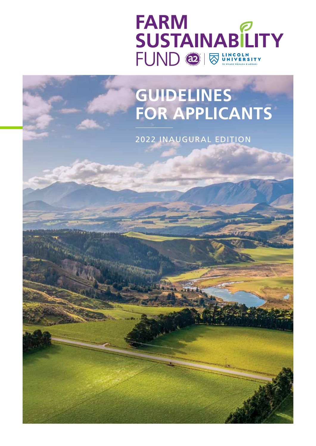



2022 INAUGURAL EDITION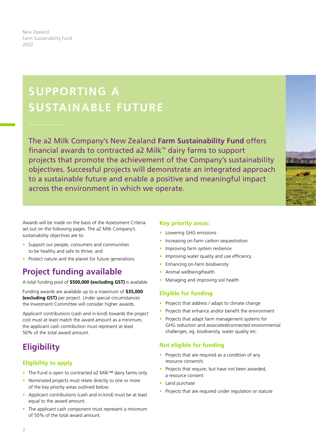New Zealand Farm Sustainability Fund 2022

# **SUPPORTING A SUSTAINABLE FUTURE**

The a2 Milk Company's New Zealand **Farm Sustainability Fund** offers financial awards to contracted a2 Milk™ dairy farms to support projects that promote the achievement of the Company's sustainability objectives. Successful projects will demonstrate an integrated approach to a sustainable future and enable a positive and meaningful impact across the environment in which we operate.



- Support our people, consumers and communities to be healthy and safe to thrive; and
- Protect nature and the planet for future generations

### **Project funding available**

A total funding pool of **\$500,000 (excluding GST)** is available.

Funding awards are available up to a maximum of **\$35,000 (excluding GST)** per project. Under special circumstances the Investment Committee will consider higher awards.

Applicant contributions (cash and in-kind) towards the project cost must at least match the award amount as a minimum; the applicant cash contribution must represent at least 50% of the total award amount.

### **Eligibility**

#### **Eligibility to apply**

- The Fund is open to contracted a2 Milk™ dairy farms only.
- Nominated projects must relate directly to one or more of the key priority areas outlined below.
- Applicant contributions (cash and in-kind) must be at least equal to the award amount.
- The applicant cash component must represent a minimum of 50% of the total award amount.

#### **Key priority areas:**

- Lowering GHG emissions
- Increasing on-farm carbon sequestration
- Improving farm system resilience
- Improving water quality and use efficiency
- Enhancing on-farm biodiversity
- Animal wellbeing/health
- Managing and improving soil health

#### **Eligible for funding**

- Projects that address / adapt to climate change
- Projects that enhance and/or benefit the environment
- Projects that adapt farm management systems for GHG reduction and associated/connected environmental challenges, eg. biodiversity, water quality etc.

#### **Not eligible for funding**

- Projects that are required as a condition of any resource consent/s
- Projects that require, but have not been awarded, a resource consent
- Land purchase
- Projects that are required under regulation or statute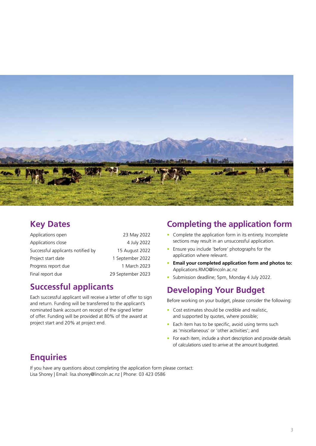

#### **Key Dates**

| Applications open                 | 23 May 2022       |
|-----------------------------------|-------------------|
| Applications close                | 4 July 2022       |
| Successful applicants notified by | 15 August 2022    |
| Project start date                | 1 September 2022  |
| Progress report due               | 1 March 2023      |
| Final report due                  | 29 September 2023 |

### **Successful applicants**

Each successful applicant will receive a letter of offer to sign and return. Funding will be transferred to the applicant's nominated bank account on receipt of the signed letter of offer. Funding will be provided at 80% of the award at project start and 20% at project end.

### **Completing the application form**

- Complete the application form in its entirety. Incomplete sections may result in an unsuccessful application.
- Ensure you include 'before' photographs for the application where relevant.
- **Email your completed application form and photos to:**  Applications.RMO@lincoln.ac.nz
- Submission deadline; 5pm, Monday 4 July 2022.

### **Developing Your Budget**

Before working on your budget, please consider the following:

- Cost estimates should be credible and realistic, and supported by quotes, where possible;
- Each item has to be specific, avoid using terms such as 'miscellaneous' or 'other activities'; and
- For each item, include a short description and provide details of calculations used to arrive at the amount budgeted.

#### **Enquiries**

If you have any questions about completing the application form please contact: Lisa Shorey | Email: lisa.shorey@lincoln.ac.nz | Phone: 03 423 0586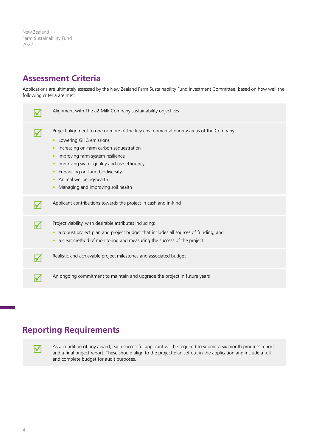New Zealand Farm Sustainability Fund 2022

#### **Assessment Criteria**

Applications are ultimately assessed by the New Zealand Farm Sustainability Fund Investment Committee, based on how well the following criteria are met:

| Alignment with The a2 Milk Company sustainability objectives                                                                                                                                                                                                                                                                                                         |
|----------------------------------------------------------------------------------------------------------------------------------------------------------------------------------------------------------------------------------------------------------------------------------------------------------------------------------------------------------------------|
| Project alignment to one or more of the key environmental priority areas of the Company:<br>Lowering GHG emissions<br>Increasing on-farm carbon sequestration<br>Improving farm system resilience<br>Improving water quality and use efficiency<br>۰<br>Enhancing on-farm biodiversity<br>$\bullet$<br>Animal wellbeing/health<br>Managing and improving soil health |
| Applicant contributions towards the project in cash and in-kind                                                                                                                                                                                                                                                                                                      |
| Project viability, with desirable attributes including:<br>a robust project plan and project budget that includes all sources of funding; and<br>a clear method of monitoring and measuring the success of the project                                                                                                                                               |
| Realistic and achievable project milestones and associated budget                                                                                                                                                                                                                                                                                                    |
| An ongoing commitment to maintain and upgrade the project in future years                                                                                                                                                                                                                                                                                            |

### **Reporting Requirements**

As a condition of any award, each successful applicant will be required to submit a six month progress report and a final project report. These should align to the project plan set out in the application and include a full and complete budget for audit purposes.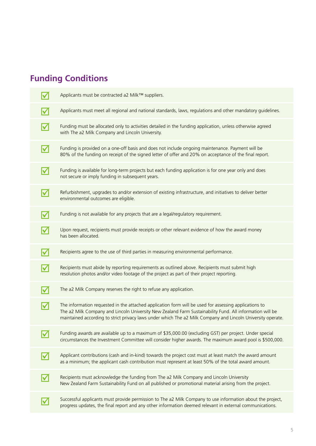## **Funding Conditions**

| Applicants must be contracted a2 Milk™ suppliers.                                                                                                                                                                                                                                                                                |
|----------------------------------------------------------------------------------------------------------------------------------------------------------------------------------------------------------------------------------------------------------------------------------------------------------------------------------|
| Applicants must meet all regional and national standards, laws, regulations and other mandatory guidelines.                                                                                                                                                                                                                      |
| Funding must be allocated only to activities detailed in the funding application, unless otherwise agreed<br>with The a2 Milk Company and Lincoln University.                                                                                                                                                                    |
| Funding is provided on a one-off basis and does not include ongoing maintenance. Payment will be<br>80% of the funding on receipt of the signed letter of offer and 20% on acceptance of the final report.                                                                                                                       |
| Funding is available for long-term projects but each funding application is for one year only and does<br>not secure or imply funding in subsequent years.                                                                                                                                                                       |
| Refurbishment, upgrades to and/or extension of existing infrastructure, and initiatives to deliver better<br>environmental outcomes are eligible.                                                                                                                                                                                |
| Funding is not available for any projects that are a legal/regulatory requirement.                                                                                                                                                                                                                                               |
| Upon request, recipients must provide receipts or other relevant evidence of how the award money<br>has been allocated.                                                                                                                                                                                                          |
| Recipients agree to the use of third parties in measuring environmental performance.                                                                                                                                                                                                                                             |
| Recipients must abide by reporting requirements as outlined above. Recipients must submit high<br>resolution photos and/or video footage of the project as part of their project reporting.                                                                                                                                      |
| The a2 Milk Company reserves the right to refuse any application.                                                                                                                                                                                                                                                                |
| The information requested in the attached application form will be used for assessing applications to<br>The a2 Milk Company and Lincoln University New Zealand Farm Sustainability Fund. All information will be<br>maintained according to strict privacy laws under which The a2 Milk Company and Lincoln University operate. |
| Funding awards are available up to a maximum of \$35,000.00 (excluding GST) per project. Under special<br>circumstances the Investment Committee will consider higher awards. The maximum award pool is \$500,000.                                                                                                               |
| Applicant contributions (cash and in-kind) towards the project cost must at least match the award amount<br>as a minimum; the applicant cash contribution must represent at least 50% of the total award amount.                                                                                                                 |
| Recipients must acknowledge the funding from The a2 Milk Company and Lincoln University<br>New Zealand Farm Sustainability Fund on all published or promotional material arising from the project.                                                                                                                               |
| Successful applicants must provide permission to The a2 Milk Company to use information about the project,<br>progress updates, the final report and any other information deemed relevant in external communications.                                                                                                           |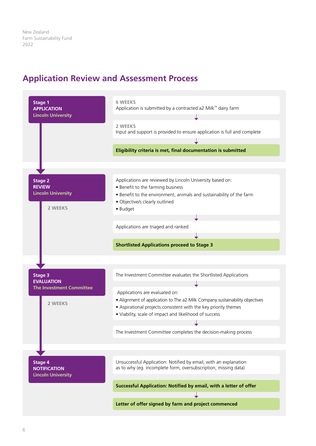#### **Application Review and Assessment Process**

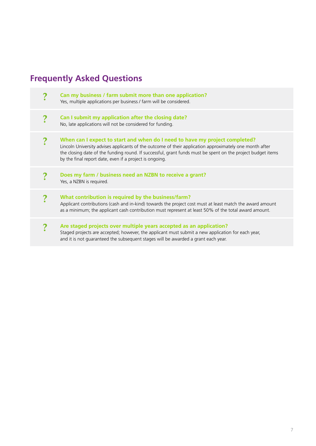## **Frequently Asked Questions**

|  | Can my business / farm submit more than one application?<br>Yes, multiple applications per business / farm will be considered.                                                                                                                                                                                                                                   |
|--|------------------------------------------------------------------------------------------------------------------------------------------------------------------------------------------------------------------------------------------------------------------------------------------------------------------------------------------------------------------|
|  | Can I submit my application after the closing date?<br>No, late applications will not be considered for funding.                                                                                                                                                                                                                                                 |
|  | When can I expect to start and when do I need to have my project completed?<br>Lincoln University advises applicants of the outcome of their application approximately one month after<br>the closing date of the funding round. If successful, grant funds must be spent on the project budget items<br>by the final report date, even if a project is ongoing. |
|  | Does my farm / business need an NZBN to receive a grant?<br>Yes, a NZBN is required.                                                                                                                                                                                                                                                                             |
|  | What contribution is required by the business/farm?<br>Applicant contributions (cash and in-kind) towards the project cost must at least match the award amount<br>as a minimum; the applicant cash contribution must represent at least 50% of the total award amount.                                                                                          |
|  | Are staged projects over multiple years accepted as an application?<br>Staged projects are accepted; however, the applicant must submit a new application for each year,<br>and it is not guaranteed the subsequent stages will be awarded a grant each year.                                                                                                    |